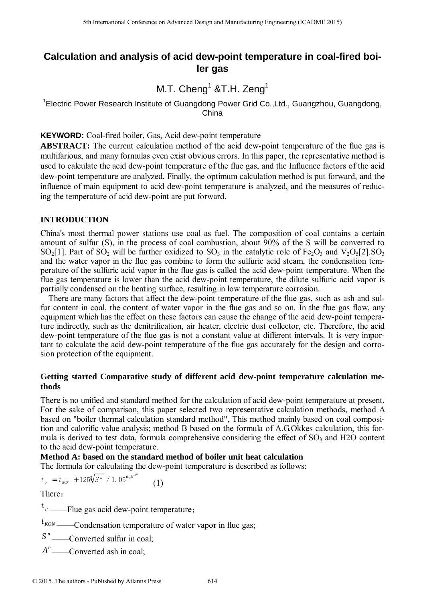# **Calculation and analysis of acid dew-point temperature in coal-fired boiler gas**

M.T.  $Cheng<sup>1</sup>$  &T.H. Zeng<sup>1</sup>

<sup>1</sup>Electric Power Research Institute of Guangdong Power Grid Co.,Ltd., Guangzhou, Guangdong, China

**KEYWORD:** Coal-fired boiler, Gas, Acid dew-point temperature

**ABSTRACT:** The current calculation method of the acid dew-point temperature of the flue gas is multifarious, and many formulas even exist obvious errors. In this paper, the representative method is used to calculate the acid dew-point temperature of the flue gas, and the Influence factors of the acid dew-point temperature are analyzed. Finally, the optimum calculation method is put forward, and the influence of main equipment to acid dew-point temperature is analyzed, and the measures of reducing the temperature of acid dew-point are put forward.

## **INTRODUCTION**

China's most thermal power stations use coal as fuel. The composition of coal contains a certain amount of sulfur (S), in the process of coal combustion, about 90% of the S will be converted to  $SO_2[1]$ . Part of  $SO_2$  will be further oxidized to  $SO_3$  in the catalytic role of Fe<sub>2</sub>O<sub>3</sub> and V<sub>2</sub>O<sub>5</sub>[2]. SO<sub>3</sub> and the water vapor in the flue gas combine to form the sulfuric acid steam, the condensation temperature of the sulfuric acid vapor in the flue gas is called the acid dew-point temperature. When the flue gas temperature is lower than the acid dew-point temperature, the dilute sulfuric acid vapor is partially condensed on the heating surface, resulting in low temperature corrosion. <sup>516</sup> Learninon Conference on Advanced Design and Manufacturing Engineering Conditions 2016<br>
Learning 2017<br>
11. The conference of Conference on Advanced Design and Manufacturing Constrained Conference of ADVANDE Conferenc

There are many factors that affect the dew-point temperature of the flue gas, such as ash and sulfur content in coal, the content of water vapor in the flue gas and so on. In the flue gas flow, any equipment which has the effect on these factors can cause the change of the acid dew-point temperature indirectly, such as the denitrification, air heater, electric dust collector, etc. Therefore, the acid dew-point temperature of the flue gas is not a constant value at different intervals. It is very important to calculate the acid dew-point temperature of the flue gas accurately for the design and corrosion protection of the equipment.

## **Getting started Comparative study of different acid dew-point temperature calculation methods**

There is no unified and standard method for the calculation of acid dew-point temperature at present. For the sake of comparison, this paper selected two representative calculation methods, method A based on "boiler thermal calculation standard method", This method mainly based on coal composition and calorific value analysis; method B based on the formula of A.G.Okkes calculation, this formula is derived to test data, formula comprehensive considering the effect of  $SO<sub>3</sub>$  and H2O content to the acid dew-point temperature.

#### **Method A: based on the standard method of boiler unit heat calculation**

The formula for calculating the dew-point temperature is described as follows:

$$
t_p = t_{K0N} + 125 \sqrt[3]{S^n} / 1.05^{a_y H^{A^n}}
$$
 (1)

There:

<sup>*t* <sub>p</sub> ——Flue gas acid dew-point temperature;</sup>

 $t_{KON}$  ——Condensation temperature of water vapor in flue gas;

*S*<sup>n</sup> ——Converted sulfur in coal;

A<sup>n</sup>——Converted ash in coal;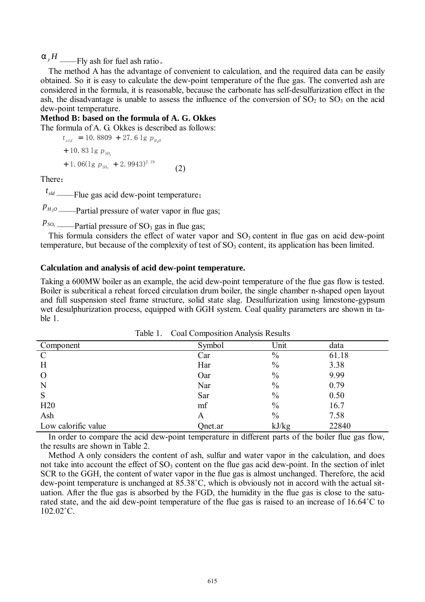$a_yH$  ——Fly ash for fuel ash ratio.

The method A has the advantage of convenient to calculation, and the required data can be easily obtained. So it is easy to calculate the dew-point temperature of the flue gas. The converted ash are considered in the formula, it is reasonable, because the carbonate has self-desulfurization effect in the ash, the disadvantage is unable to assess the influence of the conversion of  $SO_2$  to  $SO_3$  on the acid dew-point temperature.

## **Method B: based on the formula of A. G. Okkes**

The formula of A. G. Okkes is described as follows:

$$
t_{sld} = 10.8809 + 27.6 \lg p_{H_20}
$$
  
+ 10.83 \lg p\_{SO\_3}  
+ 1.06(1g p\_{SO\_3} + 2.9943)^{2.19} (2)

There:

 $t<sub>std</sub>$  ——Flue gas acid dew-point temperature;

 $p_{H_2O}$  ——Partial pressure of water vapor in flue gas;

 $p_{so}$  ——Partial pressure of SO<sub>3</sub> gas in flue gas;

This formula considers the effect of water vapor and  $SO<sub>3</sub>$  content in flue gas on acid dew-point temperature, but because of the complexity of test of  $SO<sub>3</sub>$  content, its application has been limited.

#### **Calculation and analysis of acid dew-point temperature.**

Taking a 600MW boiler as an example, the acid dew-point temperature of the flue gas flow is tested. Boiler is subcritical a reheat forced circulation drum boiler, the single chamber n-shaped open layout and full suspension steel frame structure, solid state slag. Desulfurization using limestone-gypsum wet desulphurization process, equipped with GGH system. Coal quality parameters are shown in table 1.

| Component           | Symbol  | Unit          | data  |
|---------------------|---------|---------------|-------|
| $\mathcal{C}$       | Car     | $\%$          | 61.18 |
| H                   | Har     | $\frac{0}{0}$ | 3.38  |
| $\Omega$            | Oar     | $\frac{0}{0}$ | 9.99  |
| N                   | Nar     | $\frac{0}{0}$ | 0.79  |
| S                   | Sar     | $\frac{0}{0}$ | 0.50  |
| H20                 | mf      | $\frac{0}{0}$ | 16.7  |
| Ash                 | A       | $\frac{0}{0}$ | 7.58  |
| Low calorific value | Qnet.ar | kJ/kg         | 22840 |

Table 1. Coal Composition Analysis Results

In order to compare the acid dew-point temperature in different parts of the boiler flue gas flow, the results are shown in Table 2.

Method A only considers the content of ash, sulfur and water vapor in the calculation, and does not take into account the effect of  $SO_3$  content on the flue gas acid dew-point. In the section of inlet SCR to the GGH, the content of water vapor in the flue gas is almost unchanged. Therefore, the acid dew-point temperature is unchanged at 85.38˚C, which is obviously not in accord with the actual situation. After the flue gas is absorbed by the FGD, the humidity in the flue gas is close to the saturated state, and the aid dew-point temperature of the flue gas is raised to an increase of 16.64˚C to 102.02˚C.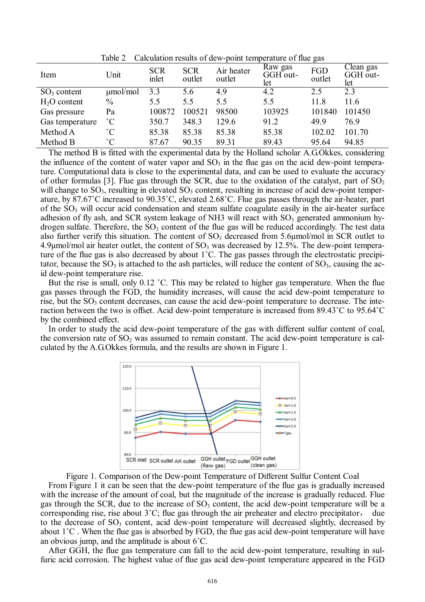| Item            | Unit          | <b>SCR</b><br>inlet | <b>SCR</b><br>outlet | Air heater<br>outlet | Raw gas<br>GGH out-<br>let | $\tilde{\phantom{a}}$<br>FGD<br>outlet | Clean gas<br>GGH out-<br>let |
|-----------------|---------------|---------------------|----------------------|----------------------|----------------------------|----------------------------------------|------------------------------|
| $SO3$ content   | $\mu$ mol/mol | 3.3                 | 5.6                  | 4.9                  | 4.2                        | 2.5                                    | 2.3                          |
| $H2O$ content   | $\frac{0}{0}$ | 5.5                 | 5.5                  | 5.5                  | 5.5                        | 11.8                                   | 11.6                         |
| Gas pressure    | Pa            | 100872              | 100521               | 98500                | 103925                     | 101840                                 | 101450                       |
| Gas temperature | $^{\circ}C$   | 350.7               | 348.3                | 129.6                | 91.2                       | 49.9                                   | 76.9                         |
| Method A        | $^{\circ}C$   | 85.38               | 85.38                | 85.38                | 85.38                      | 102.02                                 | 101.70                       |
| Method B        | $^{\circ}C$   | 87.67               | 90.35                | 89.31                | 89.43                      | 95.64                                  | 94.85                        |

Table 2 Calculation results of dew-point temperature of flue gas

The method B is fitted with the experimental data by the Holland scholar A.G.Okkes, considering the influence of the content of water vapor and  $SO_3$  in the flue gas on the acid dew-point temperature. Computational data is close to the experimental data, and can be used to evaluate the accuracy of other formulas [3]. Flue gas through the SCR, due to the oxidation of the catalyst, part of  $SO_2$ will change to  $SO_3$ , resulting in elevated  $SO_3$  content, resulting in increase of acid dew-point temperature, by 87.67˚C increased to 90.35˚C, elevated 2.68˚C. Flue gas passes through the air-heater, part of the SO<sub>3</sub> will occur acid condensation and steam sulfate coagulate easily in the air-heater surface adhesion of fly ash, and SCR system leakage of NH3 will react with  $SO<sub>3</sub>$  generated ammonium hydrogen sulfate. Therefore, the  $SO_3$  content of the flue gas will be reduced accordingly. The test data also further verify this situation. The content of  $SO<sub>3</sub>$  decreased from 5.6 $\mu$ mol/mol in SCR outlet to  $4.9\mu$ mol/mol air heater outlet, the content of SO<sub>3</sub> was decreased by 12.5%. The dew-point temperature of the flue gas is also decreased by about 1˚C. The gas passes through the electrostatic precipitator, because the  $SO_3$  is attached to the ash particles, will reduce the content of  $SO_3$ , causing the acid dew-point temperature rise.

But the rise is small, only 0.12 °C. This may be related to higher gas temperature. When the flue gas passes through the FGD, the humidity increases, will cause the acid dew-point temperature to rise, but the  $SO_3$  content decreases, can cause the acid dew-point temperature to decrease. The interaction between the two is offset. Acid dew-point temperature is increased from 89.43˚C to 95.64˚C by the combined effect.

In order to study the acid dew-point temperature of the gas with different sulfur content of coal, the conversion rate of  $SO_2$  was assumed to remain constant. The acid dew-point temperature is calculated by the A.G.Okkes formula, and the results are shown in Figure 1.



Figure 1. Comparison of the Dew-point Temperature of Different Sulfur Content Coal From Figure 1 it can be seen that the dew-point temperature of the flue gas is gradually increased with the increase of the amount of coal, but the magnitude of the increase is gradually reduced. Flue gas through the SCR, due to the increase of  $SO<sub>3</sub>$  content, the acid dew-point temperature will be a corresponding rise, rise about 3˚C; flue gas through the air preheater and electro precipitator, due to the decrease of  $SO_3$  content, acid dew-point temperature will decreased slightly, decreased by about 1˚C . When the flue gas is absorbed by FGD, the flue gas acid dew-point temperature will have an obvious jump, and the amplitude is about 6˚C.

After GGH, the flue gas temperature can fall to the acid dew-point temperature, resulting in sulfuric acid corrosion. The highest value of flue gas acid dew-point temperature appeared in the FGD